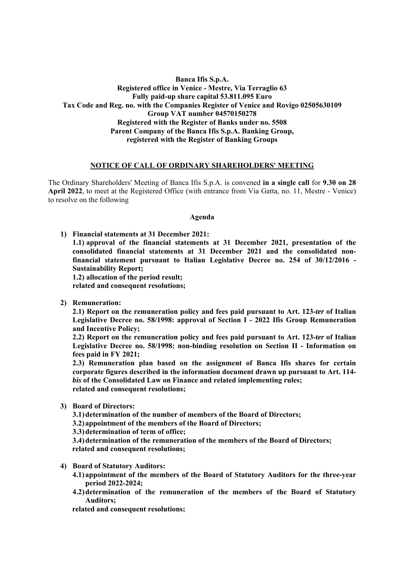# **Banca Ifis S.p.A. Registered office in Venice - Mestre, Via Terraglio 63 Fully paid-up share capital 53.811.095 Euro Tax Code and Reg. no. with the Companies Register of Venice and Rovigo 02505630109 Group VAT number 04570150278 Registered with the Register of Banks under no. 5508 Parent Company of the Banca Ifis S.p.A. Banking Group, registered with the Register of Banking Groups**

### **NOTICE OF CALL OF ORDINARY SHAREHOLDERS' MEETING**

The Ordinary Shareholders' Meeting of Banca Ifis S.p.A. is convened **in a single call** for **9.30 on 28 April 2022**, to meet at the Registered Office (with entrance from Via Gatta, no. 11, Mestre - Venice) to resolve on the following

#### **Agenda**

**1) Financial statements at 31 December 2021: 1.1) approval of the financial statements at 31 December 2021, presentation of the consolidated financial statements at 31 December 2021 and the consolidated nonfinancial statement pursuant to Italian Legislative Decree no. 254 of 30/12/2016 - Sustainability Report; 1.2) allocation of the period result;** 

**related and consequent resolutions;** 

**2) Remuneration:** 

**2.1) Report on the remuneration policy and fees paid pursuant to Art. 123-***ter* **of Italian Legislative Decree no. 58/1998: approval of Section I - 2022 Ifis Group Remuneration and Incentive Policy;** 

**2.2) Report on the remuneration policy and fees paid pursuant to Art. 123-***ter* **of Italian Legislative Decree no. 58/1998: non-binding resolution on Section II - Information on fees paid in FY 2021;** 

**2.3) Remuneration plan based on the assignment of Banca Ifis shares for certain corporate figures described in the information document drawn up pursuant to Art. 114** *bis* **of the Consolidated Law on Finance and related implementing rules; related and consequent resolutions;** 

**3) Board of Directors:** 

**3.1)determination of the number of members of the Board of Directors;** 

**3.2)appointment of the members of the Board of Directors;** 

**3.3)determination of term of office;** 

**3.4)determination of the remuneration of the members of the Board of Directors; related and consequent resolutions;** 

- **4) Board of Statutory Auditors:** 
	- **4.1)appointment of the members of the Board of Statutory Auditors for the three-year period 2022-2024;**
	- **4.2)determination of the remuneration of the members of the Board of Statutory Auditors;**

**related and consequent resolutions;**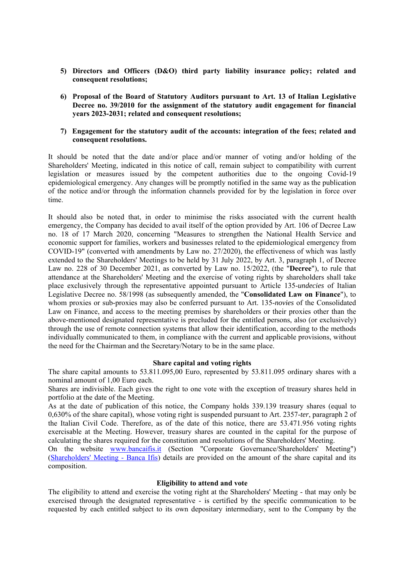- **5) Directors and Officers (D&O) third party liability insurance policy; related and consequent resolutions;**
- **6) Proposal of the Board of Statutory Auditors pursuant to Art. 13 of Italian Legislative Decree no. 39/2010 for the assignment of the statutory audit engagement for financial years 2023-2031; related and consequent resolutions;**

### **7) Engagement for the statutory audit of the accounts: integration of the fees; related and consequent resolutions.**

It should be noted that the date and/or place and/or manner of voting and/or holding of the Shareholders' Meeting, indicated in this notice of call, remain subject to compatibility with current legislation or measures issued by the competent authorities due to the ongoing Covid-19 epidemiological emergency. Any changes will be promptly notified in the same way as the publication of the notice and/or through the information channels provided for by the legislation in force over time.

It should also be noted that, in order to minimise the risks associated with the current health emergency, the Company has decided to avail itself of the option provided by Art. 106 of Decree Law no. 18 of 17 March 2020, concerning "Measures to strengthen the National Health Service and economic support for families, workers and businesses related to the epidemiological emergency from COVID-19" (converted with amendments by Law no. 27/2020), the effectiveness of which was lastly extended to the Shareholders' Meetings to be held by 31 July 2022, by Art. 3, paragraph 1, of Decree Law no. 228 of 30 December 2021, as converted by Law no. 15/2022, (the "**Decree**"), to rule that attendance at the Shareholders' Meeting and the exercise of voting rights by shareholders shall take place exclusively through the representative appointed pursuant to Article 135-*undecies* of Italian Legislative Decree no. 58/1998 (as subsequently amended, the "**Consolidated Law on Finance**"), to whom proxies or sub-proxies may also be conferred pursuant to Art. 135-*novies* of the Consolidated Law on Finance, and access to the meeting premises by shareholders or their proxies other than the above-mentioned designated representative is precluded for the entitled persons, also (or exclusively) through the use of remote connection systems that allow their identification, according to the methods individually communicated to them, in compliance with the current and applicable provisions, without the need for the Chairman and the Secretary/Notary to be in the same place.

#### **Share capital and voting rights**

The share capital amounts to 53.811.095,00 Euro, represented by 53.811.095 ordinary shares with a nominal amount of 1,00 Euro each.

Shares are indivisible. Each gives the right to one vote with the exception of treasury shares held in portfolio at the date of the Meeting.

As at the date of publication of this notice, the Company holds 339.139 treasury shares (equal to 0,630% of the share capital), whose voting right is suspended pursuant to Art. 2357-*ter*, paragraph 2 of the Italian Civil Code. Therefore, as of the date of this notice, there are 53.471.956 voting rights exercisable at the Meeting. However, treasury shares are counted in the capital for the purpose of calculating the shares required for the constitution and resolutions of the Shareholders' Meeting.

On the website www.bancaifis.it (Section "Corporate Governance/Shareholders' Meeting") (Shareholders' Meeting - Banca Ifis) details are provided on the amount of the share capital and its composition.

#### **Eligibility to attend and vote**

The eligibility to attend and exercise the voting right at the Shareholders' Meeting - that may only be exercised through the designated representative - is certified by the specific communication to be requested by each entitled subject to its own depositary intermediary, sent to the Company by the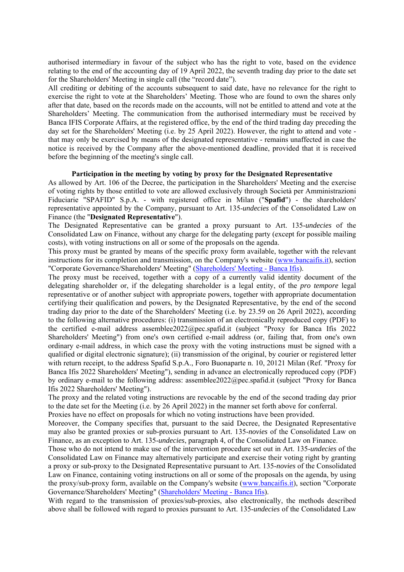authorised intermediary in favour of the subject who has the right to vote, based on the evidence relating to the end of the accounting day of 19 April 2022, the seventh trading day prior to the date set for the Shareholders' Meeting in single call (the "record date").

All crediting or debiting of the accounts subsequent to said date, have no relevance for the right to exercise the right to vote at the Shareholders' Meeting. Those who are found to own the shares only after that date, based on the records made on the accounts, will not be entitled to attend and vote at the Shareholders' Meeting. The communication from the authorised intermediary must be received by Banca IFIS Corporate Affairs, at the registered office, by the end of the third trading day preceding the day set for the Shareholders' Meeting (i.e. by 25 April 2022). However, the right to attend and vote that may only be exercised by means of the designated representative - remains unaffected in case the notice is received by the Company after the above-mentioned deadline, provided that it is received before the beginning of the meeting's single call.

#### **Participation in the meeting by voting by proxy for the Designated Representative**

As allowed by Art. 106 of the Decree, the participation in the Shareholders' Meeting and the exercise of voting rights by those entitled to vote are allowed exclusively through Società per Amministrazioni Fiduciarie "SPAFID" S.p.A. - with registered office in Milan ("**Spafid**") - the shareholders' representative appointed by the Company, pursuant to Art. 135-*undecies* of the Consolidated Law on Finance (the "**Designated Representative**").

The Designated Representative can be granted a proxy pursuant to Art. 135-*undecies* of the Consolidated Law on Finance, without any charge for the delegating party (except for possible mailing costs), with voting instructions on all or some of the proposals on the agenda.

This proxy must be granted by means of the specific proxy form available, together with the relevant instructions for its completion and transmission, on the Company's website (www.bancaifis.it), section "Corporate Governance/Shareholders' Meeting" (Shareholders' Meeting - Banca Ifis).

The proxy must be received, together with a copy of a currently valid identity document of the delegating shareholder or, if the delegating shareholder is a legal entity, of the *pro tempore* legal representative or of another subject with appropriate powers, together with appropriate documentation certifying their qualification and powers, by the Designated Representative, by the end of the second trading day prior to the date of the Shareholders' Meeting (i.e. by 23.59 on 26 April 2022), according to the following alternative procedures: (i) transmission of an electronically reproduced copy (PDF) to the certified e-mail address assemblee2022@pec.spafid.it (subject "Proxy for Banca Ifis 2022 Shareholders' Meeting") from one's own certified e-mail address (or, failing that, from one's own ordinary e-mail address, in which case the proxy with the voting instructions must be signed with a qualified or digital electronic signature); (ii) transmission of the original, by courier or registered letter with return receipt, to the address Spafid S.p.A., Foro Buonaparte n. 10, 20121 Milan (Ref. "Proxy for Banca Ifis 2022 Shareholders' Meeting"), sending in advance an electronically reproduced copy (PDF) by ordinary e-mail to the following address: assemblee2022@pec.spafid.it (subject "Proxy for Banca Ifis 2022 Shareholders' Meeting").

The proxy and the related voting instructions are revocable by the end of the second trading day prior to the date set for the Meeting (i.e. by 26 April 2022) in the manner set forth above for conferral. Proxies have no effect on proposals for which no voting instructions have been provided.

Moreover, the Company specifies that, pursuant to the said Decree, the Designated Representative may also be granted proxies or sub-proxies pursuant to Art. 135-*novies* of the Consolidated Law on Finance, as an exception to Art. 135-*undecies*, paragraph 4, of the Consolidated Law on Finance.

Those who do not intend to make use of the intervention procedure set out in Art. 135-*undecies* of the Consolidated Law on Finance may alternatively participate and exercise their voting right by granting a proxy or sub-proxy to the Designated Representative pursuant to Art. 135-*novies* of the Consolidated Law on Finance, containing voting instructions on all or some of the proposals on the agenda, by using the proxy/sub-proxy form, available on the Company's website (www.bancaifis.it), section "Corporate Governance/Shareholders' Meeting" (Shareholders' Meeting - Banca Ifis).

With regard to the transmission of proxies/sub-proxies, also electronically, the methods described above shall be followed with regard to proxies pursuant to Art. 135-*undecies* of the Consolidated Law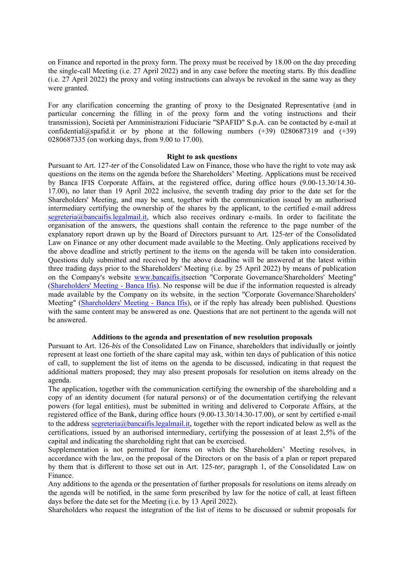on Finance and reported in the proxy form. The proxy must be received by 18.00 on the day preceding the single-call Meeting (i.e. 27 April 2022) and in any case before the meeting starts. By this deadline (i.e. 27 April 2022) the proxy and voting instructions can always be revoked in the same way as they were granted.

For any clarification concerning the granting of proxy to the Designated Representative (and in particular concerning the filling in of the proxy form and the voting instructions and their transmission), Società per Amministrazioni Fiduciarie "SPAFID" S.p.A. can be contacted by e-mail at confidential@spafid.it or by phone at the following numbers  $(+39)$  0280687319 and  $(+39)$ 0280687335 (on working days, from 9.00 to 17.00).

#### **Right to ask questions**

Pursuant to Art. 127-*ter* of the Consolidated Law on Finance, those who have the right to vote may ask questions on the items on the agenda before the Shareholders' Meeting. Applications must be received by Banca IFIS Corporate Affairs, at the registered office, during office hours (9.00-13.30/14.30- 17.00), no later than 19 April 2022 inclusive, the seventh trading day prior to the date set for the Shareholders' Meeting, and may be sent, together with the communication issued by an authorised intermediary certifying the ownership of the shares by the applicant, to the certified e-mail address segreteria@bancaifis.legalmail.it, which also receives ordinary e-mails. In order to facilitate the organisation of the answers, the questions shall contain the reference to the page number of the explanatory report drawn up by the Board of Directors pursuant to Art. 125-*ter* of the Consolidated Law on Finance or any other document made available to the Meeting. Only applications received by the above deadline and strictly pertinent to the items on the agenda will be taken into consideration. Questions duly submitted and received by the above deadline will be answered at the latest within three trading days prior to the Shareholders' Meeting (i.e. by 25 April 2022) by means of publication on the Company's website www.bancaifis.itsection "Corporate Governance/Shareholders' Meeting" (Shareholders' Meeting - Banca Ifis). No response will be due if the information requested is already made available by the Company on its website, in the section "Corporate Governance/Shareholders' Meeting" (Shareholders' Meeting - Banca Ifis), or if the reply has already been published. Questions with the same content may be answered as one. Questions that are not pertinent to the agenda will not be answered.

## **Additions to the agenda and presentation of new resolution proposals**

Pursuant to Art. 126-*bis* of the Consolidated Law on Finance, shareholders that individually or jointly represent at least one fortieth of the share capital may ask, within ten days of publication of this notice of call, to supplement the list of items on the agenda to be discussed, indicating in that request the additional matters proposed; they may also present proposals for resolution on items already on the agenda.

The application, together with the communication certifying the ownership of the shareholding and a copy of an identity document (for natural persons) or of the documentation certifying the relevant powers (for legal entities), must be submitted in writing and delivered to Corporate Affairs, at the registered office of the Bank, during office hours (9.00-13.30/14.30-17.00), or sent by certified e-mail to the address segreteria@bancaifis.legalmail.it, together with the report indicated below as well as the certifications, issued by an authorised intermediary, certifying the possession of at least 2,5% of the capital and indicating the shareholding right that can be exercised.

Supplementation is not permitted for items on which the Shareholders' Meeting resolves, in accordance with the law, on the proposal of the Directors or on the basis of a plan or report prepared by them that is different to those set out in Art. 125-*ter*, paragraph 1, of the Consolidated Law on Finance.

Any additions to the agenda or the presentation of further proposals for resolutions on items already on the agenda will be notified, in the same form prescribed by law for the notice of call, at least fifteen days before the date set for the Meeting (i.e. by 13 April 2022).

Shareholders who request the integration of the list of items to be discussed or submit proposals for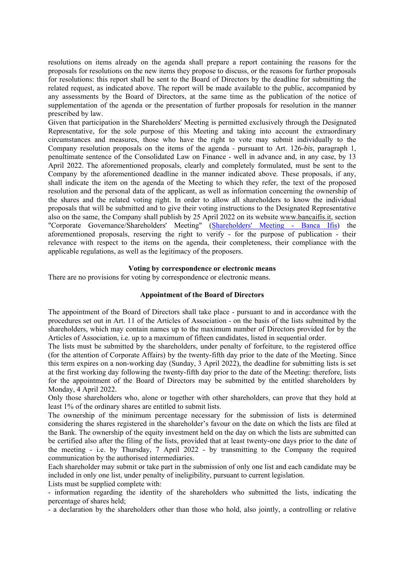resolutions on items already on the agenda shall prepare a report containing the reasons for the proposals for resolutions on the new items they propose to discuss, or the reasons for further proposals for resolutions: this report shall be sent to the Board of Directors by the deadline for submitting the related request, as indicated above. The report will be made available to the public, accompanied by any assessments by the Board of Directors, at the same time as the publication of the notice of supplementation of the agenda or the presentation of further proposals for resolution in the manner prescribed by law.

Given that participation in the Shareholders' Meeting is permitted exclusively through the Designated Representative, for the sole purpose of this Meeting and taking into account the extraordinary circumstances and measures, those who have the right to vote may submit individually to the Company resolution proposals on the items of the agenda - pursuant to Art. 126-*bis*, paragraph 1, penultimate sentence of the Consolidated Law on Finance - well in advance and, in any case, by 13 April 2022. The aforementioned proposals, clearly and completely formulated, must be sent to the Company by the aforementioned deadline in the manner indicated above. These proposals, if any, shall indicate the item on the agenda of the Meeting to which they refer, the text of the proposed resolution and the personal data of the applicant, as well as information concerning the ownership of the shares and the related voting right. In order to allow all shareholders to know the individual proposals that will be submitted and to give their voting instructions to the Designated Representative also on the same, the Company shall publish by 25 April 2022 on its website www.bancaifis.it, section "Corporate Governance/Shareholders' Meeting" (Shareholders' Meeting - Banca Ifis) the aforementioned proposals, reserving the right to verify - for the purpose of publication - their relevance with respect to the items on the agenda, their completeness, their compliance with the applicable regulations, as well as the legitimacy of the proposers.

### **Voting by correspondence or electronic means**

There are no provisions for voting by correspondence or electronic means.

#### **Appointment of the Board of Directors**

The appointment of the Board of Directors shall take place - pursuant to and in accordance with the procedures set out in Art. 11 of the Articles of Association - on the basis of the lists submitted by the shareholders, which may contain names up to the maximum number of Directors provided for by the Articles of Association, i.e. up to a maximum of fifteen candidates, listed in sequential order.

The lists must be submitted by the shareholders, under penalty of forfeiture, to the registered office (for the attention of Corporate Affairs) by the twenty-fifth day prior to the date of the Meeting. Since this term expires on a non-working day (Sunday, 3 April 2022), the deadline for submitting lists is set at the first working day following the twenty-fifth day prior to the date of the Meeting: therefore, lists for the appointment of the Board of Directors may be submitted by the entitled shareholders by Monday, 4 April 2022.

Only those shareholders who, alone or together with other shareholders, can prove that they hold at least 1% of the ordinary shares are entitled to submit lists.

The ownership of the minimum percentage necessary for the submission of lists is determined considering the shares registered in the shareholder's favour on the date on which the lists are filed at the Bank. The ownership of the equity investment held on the day on which the lists are submitted can be certified also after the filing of the lists, provided that at least twenty-one days prior to the date of the meeting - i.e. by Thursday, 7 April 2022 - by transmitting to the Company the required communication by the authorised intermediaries.

Each shareholder may submit or take part in the submission of only one list and each candidate may be included in only one list, under penalty of ineligibility, pursuant to current legislation.

Lists must be supplied complete with:

- information regarding the identity of the shareholders who submitted the lists, indicating the percentage of shares held;

- a declaration by the shareholders other than those who hold, also jointly, a controlling or relative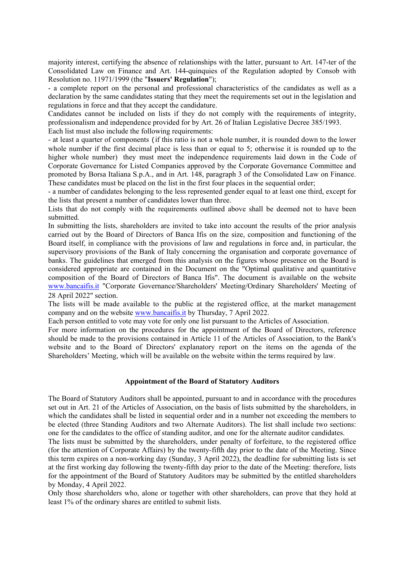majority interest, certifying the absence of relationships with the latter, pursuant to Art. 147-ter of the Consolidated Law on Finance and Art. 144-quinquies of the Regulation adopted by Consob with Resolution no. 11971/1999 (the "**Issuers' Regulation**");

- a complete report on the personal and professional characteristics of the candidates as well as a declaration by the same candidates stating that they meet the requirements set out in the legislation and regulations in force and that they accept the candidature.

Candidates cannot be included on lists if they do not comply with the requirements of integrity, professionalism and independence provided for by Art. 26 of Italian Legislative Decree 385/1993. Each list must also include the following requirements:

- at least a quarter of components (if this ratio is not a whole number, it is rounded down to the lower whole number if the first decimal place is less than or equal to 5; otherwise it is rounded up to the higher whole number) they must meet the independence requirements laid down in the Code of Corporate Governance for Listed Companies approved by the Corporate Governance Committee and promoted by Borsa Italiana S.p.A., and in Art. 148, paragraph 3 of the Consolidated Law on Finance. These candidates must be placed on the list in the first four places in the sequential order;

- a number of candidates belonging to the less represented gender equal to at least one third, except for the lists that present a number of candidates lower than three.

Lists that do not comply with the requirements outlined above shall be deemed not to have been submitted.

In submitting the lists, shareholders are invited to take into account the results of the prior analysis carried out by the Board of Directors of Banca Ifis on the size, composition and functioning of the Board itself, in compliance with the provisions of law and regulations in force and, in particular, the supervisory provisions of the Bank of Italy concerning the organisation and corporate governance of banks. The guidelines that emerged from this analysis on the figures whose presence on the Board is considered appropriate are contained in the Document on the "Optimal qualitative and quantitative composition of the Board of Directors of Banca Ifis". The document is available on the website www.bancaifis.it "Corporate Governance/Shareholders' Meeting/Ordinary Shareholders' Meeting of 28 April 2022" section.

The lists will be made available to the public at the registered office, at the market management company and on the website www.bancaifis.it by Thursday, 7 April 2022.

Each person entitled to vote may vote for only one list pursuant to the Articles of Association.

For more information on the procedures for the appointment of the Board of Directors, reference should be made to the provisions contained in Article 11 of the Articles of Association, to the Bank's website and to the Board of Directors' explanatory report on the items on the agenda of the Shareholders' Meeting, which will be available on the website within the terms required by law.

## **Appointment of the Board of Statutory Auditors**

The Board of Statutory Auditors shall be appointed, pursuant to and in accordance with the procedures set out in Art. 21 of the Articles of Association, on the basis of lists submitted by the shareholders, in which the candidates shall be listed in sequential order and in a number not exceeding the members to be elected (three Standing Auditors and two Alternate Auditors). The list shall include two sections: one for the candidates to the office of standing auditor, and one for the alternate auditor candidates.

The lists must be submitted by the shareholders, under penalty of forfeiture, to the registered office (for the attention of Corporate Affairs) by the twenty-fifth day prior to the date of the Meeting. Since this term expires on a non-working day (Sunday, 3 April 2022), the deadline for submitting lists is set at the first working day following the twenty-fifth day prior to the date of the Meeting: therefore, lists for the appointment of the Board of Statutory Auditors may be submitted by the entitled shareholders by Monday, 4 April 2022.

Only those shareholders who, alone or together with other shareholders, can prove that they hold at least 1% of the ordinary shares are entitled to submit lists.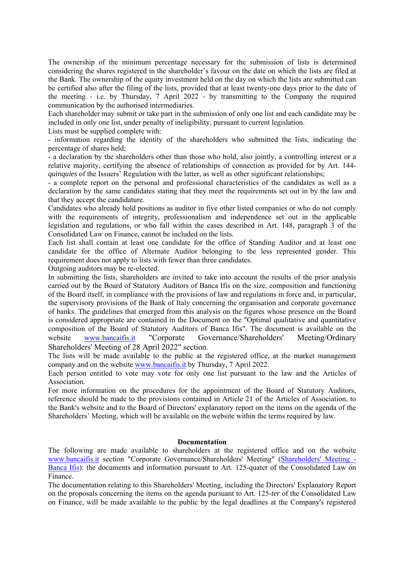The ownership of the minimum percentage necessary for the submission of lists is determined considering the shares registered in the shareholder's favour on the date on which the lists are filed at the Bank. The ownership of the equity investment held on the day on which the lists are submitted can be certified also after the filing of the lists, provided that at least twenty-one days prior to the date of the meeting - i.e. by Thursday, 7 April 2022 - by transmitting to the Company the required communication by the authorised intermediaries.

Each shareholder may submit or take part in the submission of only one list and each candidate may be included in only one list, under penalty of ineligibility, pursuant to current legislation.

Lists must be supplied complete with:

- information regarding the identity of the shareholders who submitted the lists, indicating the percentage of shares held;

- a declaration by the shareholders other than those who hold, also jointly, a controlling interest or a relative majority, certifying the absence of relationships of connection as provided for by Art. 144 *quinquies* of the Issuers' Regulation with the latter, as well as other significant relationships;

- a complete report on the personal and professional characteristics of the candidates as well as a declaration by the same candidates stating that they meet the requirements set out in by the law and that they accept the candidature.

Candidates who already hold positions as auditor in five other listed companies or who do not comply with the requirements of integrity, professionalism and independence set out in the applicable legislation and regulations, or who fall within the cases described in Art. 148, paragraph 3 of the Consolidated Law on Finance, cannot be included on the lists.

Each list shall contain at least one candidate for the office of Standing Auditor and at least one candidate for the office of Alternate Auditor belonging to the less represented gender. This requirement does not apply to lists with fewer than three candidates.

Outgoing auditors may be re-elected.

In submitting the lists, shareholders are invited to take into account the results of the prior analysis carried out by the Board of Statutory Auditors of Banca Ifis on the size, composition and functioning of the Board itself, in compliance with the provisions of law and regulations in force and, in particular, the supervisory provisions of the Bank of Italy concerning the organisation and corporate governance of banks. The guidelines that emerged from this analysis on the figures whose presence on the Board is considered appropriate are contained in the Document on the "Optimal qualitative and quantitative composition of the Board of Statutory Auditors of Banca Ifis". The document is available on the website www.bancaifis.it "Corporate Governance/Shareholders' Meeting/Ordinary Shareholders' Meeting of 28 April 2022" section.

The lists will be made available to the public at the registered office, at the market management company and on the website www.bancaifis.it by Thursday, 7 April 2022.

Each person entitled to vote may vote for only one list pursuant to the law and the Articles of Association.

For more information on the procedures for the appointment of the Board of Statutory Auditors, reference should be made to the provisions contained in Article 21 of the Articles of Association, to the Bank's website and to the Board of Directors' explanatory report on the items on the agenda of the Shareholders' Meeting, which will be available on the website within the terms required by law.

## **Documentation**

The following are made available to shareholders at the registered office and on the website www.bancaifis.it section "Corporate Governance/Shareholders' Meeting" (Shareholders' Meeting - Banca Ifis): the documents and information pursuant to Art. 125-quater of the Consolidated Law on Finance.

The documentation relating to this Shareholders' Meeting, including the Directors' Explanatory Report on the proposals concerning the items on the agenda pursuant to Art. 125-*ter* of the Consolidated Law on Finance, will be made available to the public by the legal deadlines at the Company's registered